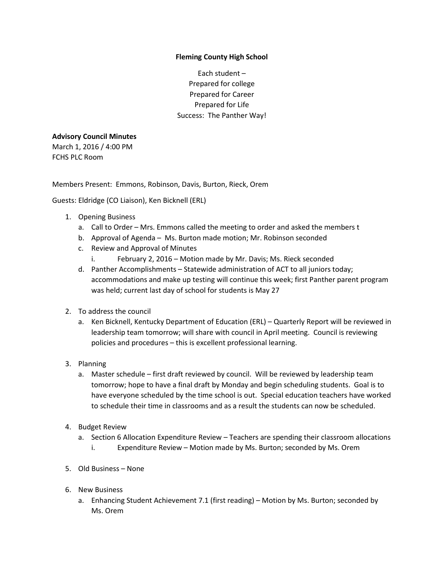## **Fleming County High School**

Each student – Prepared for college Prepared for Career Prepared for Life Success: The Panther Way!

## **Advisory Council Minutes**

March 1, 2016 / 4:00 PM FCHS PLC Room

Members Present: Emmons, Robinson, Davis, Burton, Rieck, Orem

Guests: Eldridge (CO Liaison), Ken Bicknell (ERL)

- 1. Opening Business
	- a. Call to Order Mrs. Emmons called the meeting to order and asked the members t
	- b. Approval of Agenda Ms. Burton made motion; Mr. Robinson seconded
	- c. Review and Approval of Minutes
		- i. February 2, 2016 Motion made by Mr. Davis; Ms. Rieck seconded
	- d. Panther Accomplishments Statewide administration of ACT to all juniors today; accommodations and make up testing will continue this week; first Panther parent program was held; current last day of school for students is May 27
- 2. To address the council
	- a. Ken Bicknell, Kentucky Department of Education (ERL) Quarterly Report will be reviewed in leadership team tomorrow; will share with council in April meeting. Council is reviewing policies and procedures – this is excellent professional learning.
- 3. Planning
	- a. Master schedule first draft reviewed by council. Will be reviewed by leadership team tomorrow; hope to have a final draft by Monday and begin scheduling students. Goal is to have everyone scheduled by the time school is out. Special education teachers have worked to schedule their time in classrooms and as a result the students can now be scheduled.
- 4. Budget Review
	- a. Section 6 Allocation Expenditure Review Teachers are spending their classroom allocations
		- i. Expenditure Review Motion made by Ms. Burton; seconded by Ms. Orem
- 5. Old Business None
- 6. New Business
	- a. Enhancing Student Achievement 7.1 (first reading) Motion by Ms. Burton; seconded by Ms. Orem